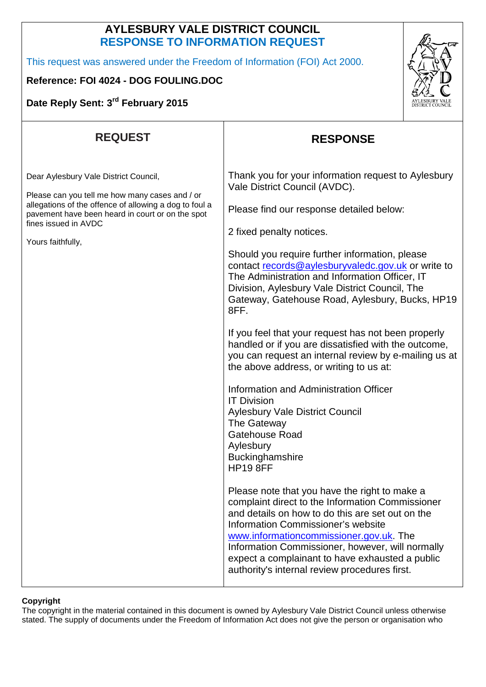## **AYLESBURY VALE DISTRICT COUNCIL RESPONSE TO INFORMATION REQUEST**

This request was answered under the Freedom of Information (FOI) Act 2000.

## **Reference: FOI 4024 - DOG FOULING.DOC**

**Date Reply Sent: 3rd February 2015**



| <b>REQUEST</b>                                                                                                                                                                                                                                     | <b>RESPONSE</b>                                                                                                                                                                                                                                                                                                                                                                                                                                                                                                 |
|----------------------------------------------------------------------------------------------------------------------------------------------------------------------------------------------------------------------------------------------------|-----------------------------------------------------------------------------------------------------------------------------------------------------------------------------------------------------------------------------------------------------------------------------------------------------------------------------------------------------------------------------------------------------------------------------------------------------------------------------------------------------------------|
| Dear Aylesbury Vale District Council,<br>Please can you tell me how many cases and / or<br>allegations of the offence of allowing a dog to foul a<br>pavement have been heard in court or on the spot<br>fines issued in AVDC<br>Yours faithfully, | Thank you for your information request to Aylesbury<br>Vale District Council (AVDC).<br>Please find our response detailed below:<br>2 fixed penalty notices.<br>Should you require further information, please<br>contact records@aylesburyvaledc.gov.uk or write to<br>The Administration and Information Officer, IT<br>Division, Aylesbury Vale District Council, The<br>Gateway, Gatehouse Road, Aylesbury, Bucks, HP19<br>8FF.<br>If you feel that your request has not been properly                      |
|                                                                                                                                                                                                                                                    | handled or if you are dissatisfied with the outcome,<br>you can request an internal review by e-mailing us at<br>the above address, or writing to us at:<br>Information and Administration Officer<br><b>IT Division</b><br><b>Aylesbury Vale District Council</b><br>The Gateway<br>Gatehouse Road<br>Aylesbury<br>Buckinghamshire<br><b>HP19 8FF</b><br>Please note that you have the right to make a<br>complaint direct to the Information Commissioner<br>and details on how to do this are set out on the |
|                                                                                                                                                                                                                                                    | <b>Information Commissioner's website</b><br>www.informationcommissioner.gov.uk. The<br>Information Commissioner, however, will normally<br>expect a complainant to have exhausted a public<br>authority's internal review procedures first.                                                                                                                                                                                                                                                                    |

## **Copyright**

The copyright in the material contained in this document is owned by Aylesbury Vale District Council unless otherwise stated. The supply of documents under the Freedom of Information Act does not give the person or organisation who